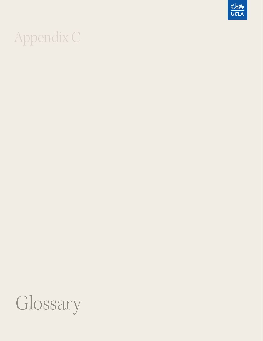# Appendix C